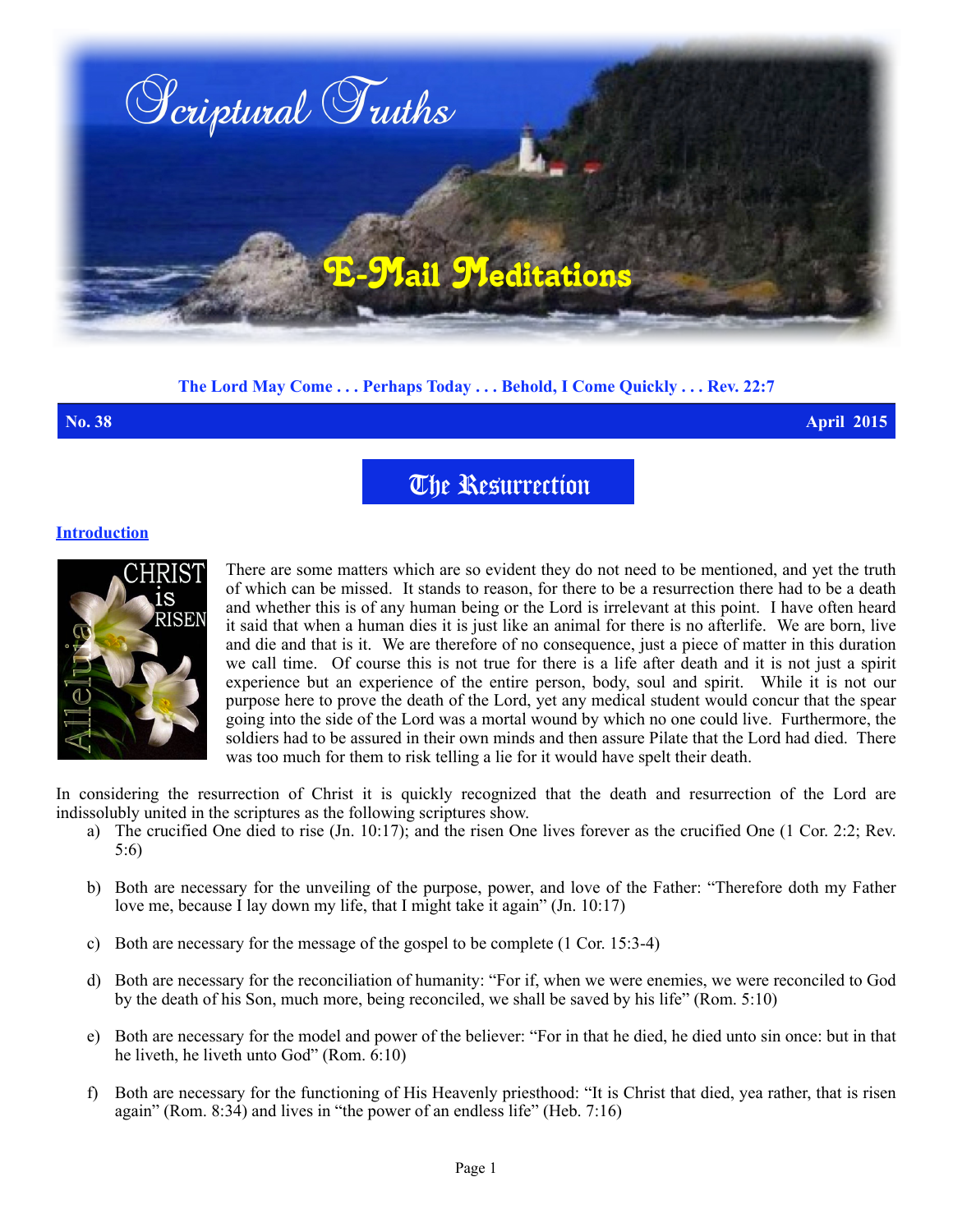

# **The Lord May Come . . . Perhaps Today . . . Behold, I Come Quickly . . . Rev. 22:7**

**No. 38 April 2015**

# The Resurrection

## **Introduction**



There are some matters which are so evident they do not need to be mentioned, and yet the truth of which can be missed. It stands to reason, for there to be a resurrection there had to be a death and whether this is of any human being or the Lord is irrelevant at this point. I have often heard it said that when a human dies it is just like an animal for there is no afterlife. We are born, live and die and that is it. We are therefore of no consequence, just a piece of matter in this duration we call time. Of course this is not true for there is a life after death and it is not just a spirit experience but an experience of the entire person, body, soul and spirit. While it is not our purpose here to prove the death of the Lord, yet any medical student would concur that the spear going into the side of the Lord was a mortal wound by which no one could live. Furthermore, the soldiers had to be assured in their own minds and then assure Pilate that the Lord had died. There was too much for them to risk telling a lie for it would have spelt their death.

In considering the resurrection of Christ it is quickly recognized that the death and resurrection of the Lord are indissolubly united in the scriptures as the following scriptures show.

- a) The crucified One died to rise (Jn. 10:17); and the risen One lives forever as the crucified One (1 Cor. 2:2; Rev. 5:6)
- b) Both are necessary for the unveiling of the purpose, power, and love of the Father: "Therefore doth my Father love me, because I lay down my life, that I might take it again" (Jn. 10:17)
- c) Both are necessary for the message of the gospel to be complete (1 Cor. 15:3-4)
- d) Both are necessary for the reconciliation of humanity: "For if, when we were enemies, we were reconciled to God by the death of his Son, much more, being reconciled, we shall be saved by his life" (Rom. 5:10)
- e) Both are necessary for the model and power of the believer: "For in that he died, he died unto sin once: but in that he liveth, he liveth unto God" (Rom. 6:10)
- f) Both are necessary for the functioning of His Heavenly priesthood: "It is Christ that died, yea rather, that is risen again" (Rom. 8:34) and lives in "the power of an endless life" (Heb. 7:16)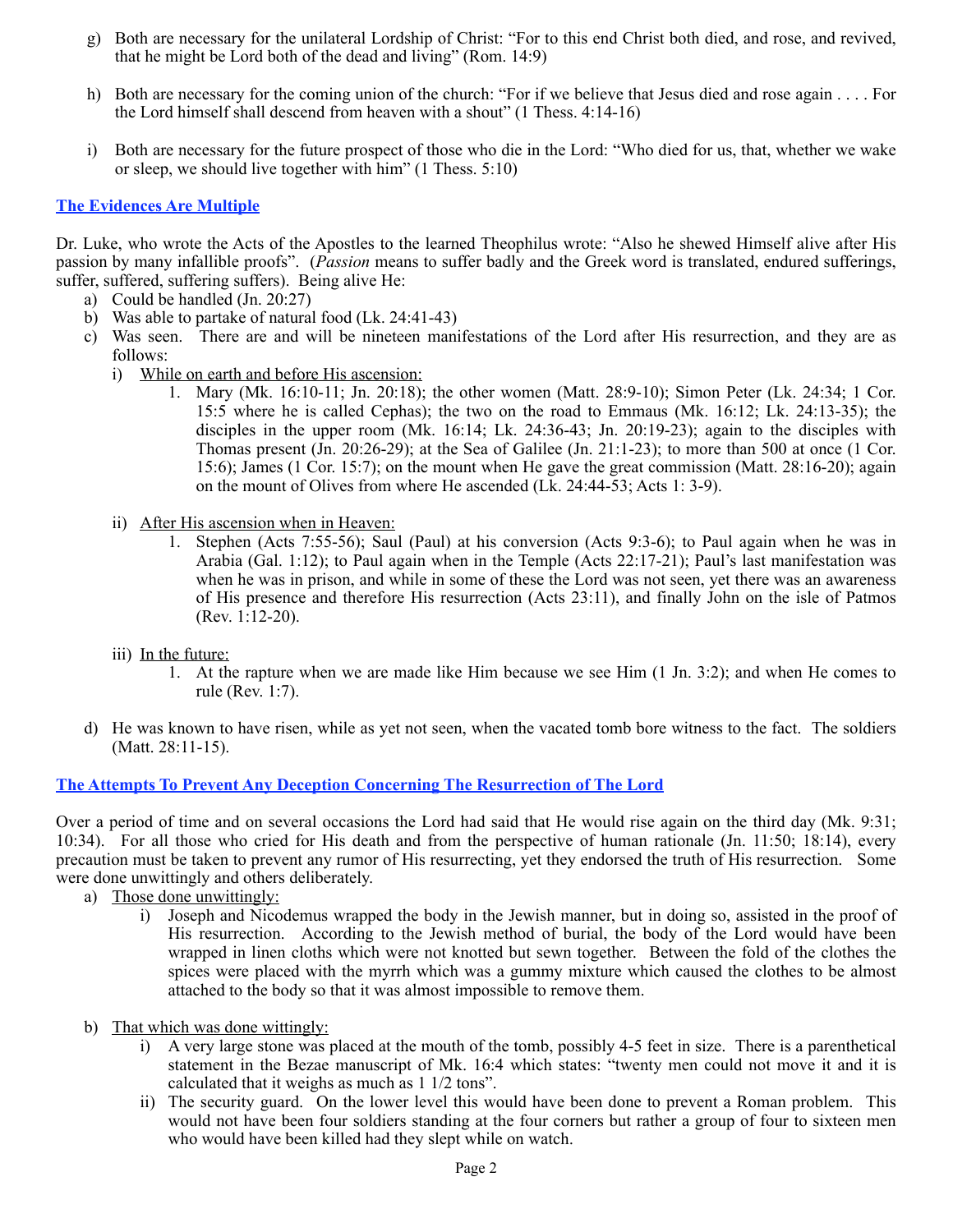- g) Both are necessary for the unilateral Lordship of Christ: "For to this end Christ both died, and rose, and revived, that he might be Lord both of the dead and living" (Rom. 14:9)
- h) Both are necessary for the coming union of the church: "For if we believe that Jesus died and rose again . . . . For the Lord himself shall descend from heaven with a shout" (1 Thess. 4:14-16)
- i) Both are necessary for the future prospect of those who die in the Lord: "Who died for us, that, whether we wake or sleep, we should live together with him" (1 Thess. 5:10)

## **The Evidences Are Multiple**

Dr. Luke, who wrote the Acts of the Apostles to the learned Theophilus wrote: "Also he shewed Himself alive after His passion by many infallible proofs". (*Passion* means to suffer badly and the Greek word is translated, endured sufferings, suffer, suffered, suffering suffers). Being alive He:

- a) Could be handled (Jn. 20:27)
- b) Was able to partake of natural food (Lk. 24:41-43)
- c) Was seen. There are and will be nineteen manifestations of the Lord after His resurrection, and they are as follows:
	- i) While on earth and before His ascension:
		- 1. Mary (Mk. 16:10-11; Jn. 20:18); the other women (Matt. 28:9-10); Simon Peter (Lk. 24:34; 1 Cor. 15:5 where he is called Cephas); the two on the road to Emmaus (Mk. 16:12; Lk. 24:13-35); the disciples in the upper room (Mk. 16:14; Lk. 24:36-43; Jn. 20:19-23); again to the disciples with Thomas present (Jn. 20:26-29); at the Sea of Galilee (Jn. 21:1-23); to more than 500 at once (1 Cor. 15:6); James (1 Cor. 15:7); on the mount when He gave the great commission (Matt. 28:16-20); again on the mount of Olives from where He ascended (Lk. 24:44-53; Acts 1: 3-9).
	- ii) After His ascension when in Heaven:
		- 1. Stephen (Acts 7:55-56); Saul (Paul) at his conversion (Acts 9:3-6); to Paul again when he was in Arabia (Gal. 1:12); to Paul again when in the Temple (Acts 22:17-21); Paul's last manifestation was when he was in prison, and while in some of these the Lord was not seen, yet there was an awareness of His presence and therefore His resurrection (Acts 23:11), and finally John on the isle of Patmos (Rev. 1:12-20).
	- iii) In the future:
		- 1. At the rapture when we are made like Him because we see Him (1 Jn. 3:2); and when He comes to rule (Rev. 1:7).
- d) He was known to have risen, while as yet not seen, when the vacated tomb bore witness to the fact. The soldiers (Matt. 28:11-15).

#### **The Attempts To Prevent Any Deception Concerning The Resurrection of The Lord**

Over a period of time and on several occasions the Lord had said that He would rise again on the third day (Mk. 9:31; 10:34). For all those who cried for His death and from the perspective of human rationale (Jn. 11:50; 18:14), every precaution must be taken to prevent any rumor of His resurrecting, yet they endorsed the truth of His resurrection. Some were done unwittingly and others deliberately.

- a) Those done unwittingly:
	- i) Joseph and Nicodemus wrapped the body in the Jewish manner, but in doing so, assisted in the proof of His resurrection. According to the Jewish method of burial, the body of the Lord would have been wrapped in linen cloths which were not knotted but sewn together. Between the fold of the clothes the spices were placed with the myrrh which was a gummy mixture which caused the clothes to be almost attached to the body so that it was almost impossible to remove them.
- b) That which was done wittingly:
	- i) A very large stone was placed at the mouth of the tomb, possibly 4-5 feet in size. There is a parenthetical statement in the Bezae manuscript of Mk. 16:4 which states: "twenty men could not move it and it is calculated that it weighs as much as 1 1/2 tons".
	- ii) The security guard. On the lower level this would have been done to prevent a Roman problem. This would not have been four soldiers standing at the four corners but rather a group of four to sixteen men who would have been killed had they slept while on watch.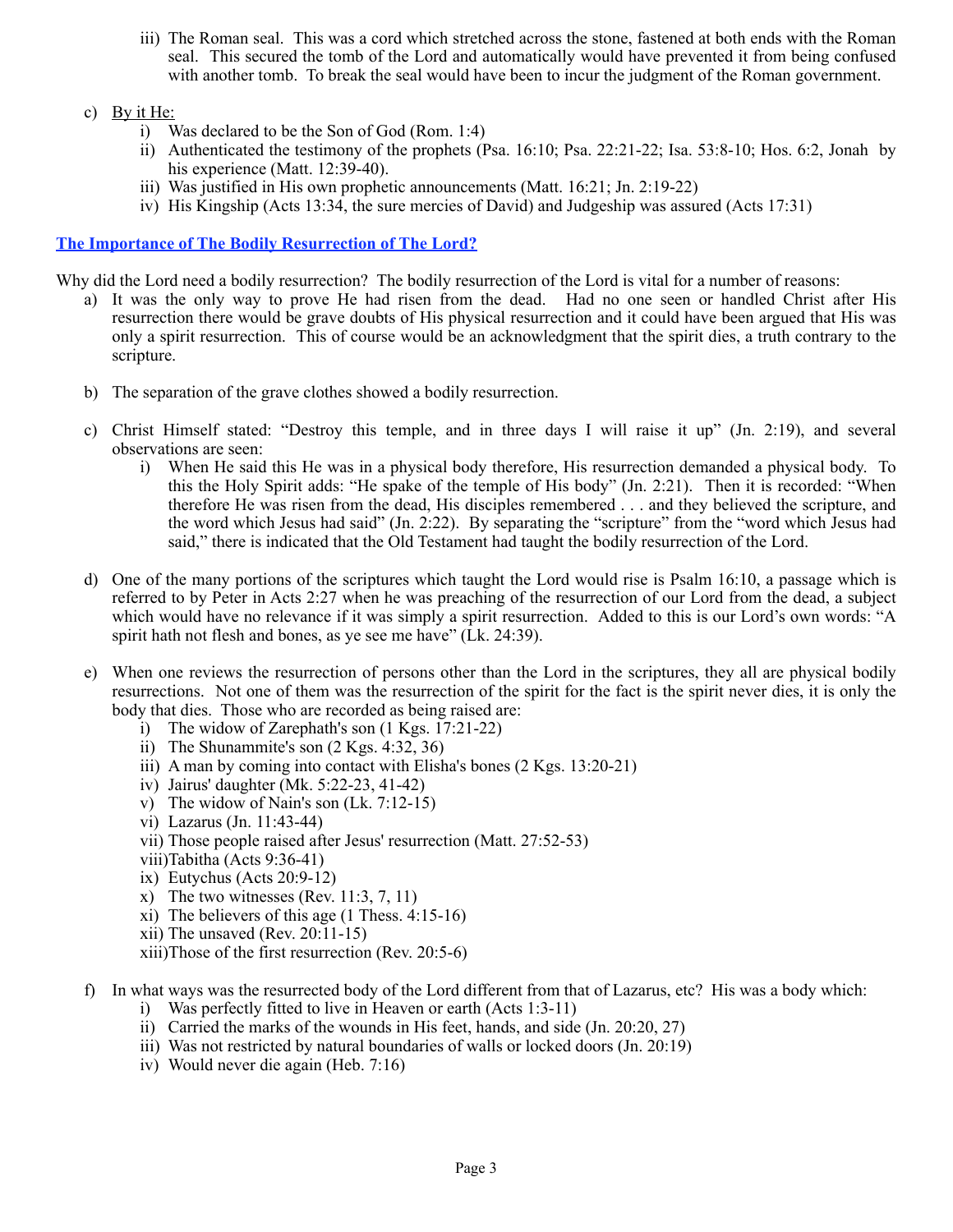- iii) The Roman seal. This was a cord which stretched across the stone, fastened at both ends with the Roman seal. This secured the tomb of the Lord and automatically would have prevented it from being confused with another tomb. To break the seal would have been to incur the judgment of the Roman government.
- c) By it He:
	- i) Was declared to be the Son of God (Rom. 1:4)
	- ii) Authenticated the testimony of the prophets (Psa. 16:10; Psa. 22:21-22; Isa. 53:8-10; Hos. 6:2, Jonah by his experience (Matt. 12:39-40).
	- iii) Was justified in His own prophetic announcements (Matt. 16:21; Jn. 2:19-22)
	- iv) His Kingship (Acts 13:34, the sure mercies of David) and Judgeship was assured (Acts 17:31)

#### **The Importance of The Bodily Resurrection of The Lord?**

Why did the Lord need a bodily resurrection? The bodily resurrection of the Lord is vital for a number of reasons:

- a) It was the only way to prove He had risen from the dead. Had no one seen or handled Christ after His resurrection there would be grave doubts of His physical resurrection and it could have been argued that His was only a spirit resurrection. This of course would be an acknowledgment that the spirit dies, a truth contrary to the scripture.
- b) The separation of the grave clothes showed a bodily resurrection.
- c) Christ Himself stated: "Destroy this temple, and in three days I will raise it up" (Jn. 2:19), and several observations are seen:
	- i) When He said this He was in a physical body therefore, His resurrection demanded a physical body. To this the Holy Spirit adds: "He spake of the temple of His body" (Jn. 2:21). Then it is recorded: "When therefore He was risen from the dead, His disciples remembered . . . and they believed the scripture, and the word which Jesus had said" (Jn. 2:22). By separating the "scripture" from the "word which Jesus had said," there is indicated that the Old Testament had taught the bodily resurrection of the Lord.
- d) One of the many portions of the scriptures which taught the Lord would rise is Psalm 16:10, a passage which is referred to by Peter in Acts 2:27 when he was preaching of the resurrection of our Lord from the dead, a subject which would have no relevance if it was simply a spirit resurrection. Added to this is our Lord's own words: "A spirit hath not flesh and bones, as ye see me have" (Lk. 24:39).
- e) When one reviews the resurrection of persons other than the Lord in the scriptures, they all are physical bodily resurrections. Not one of them was the resurrection of the spirit for the fact is the spirit never dies, it is only the body that dies. Those who are recorded as being raised are:
	- i) The widow of Zarephath's son  $(1 \text{ Kgs}, 17:21-22)$
	- ii) The Shunammite's son  $(2$  Kgs.  $4:32, 36)$
	- iii) A man by coming into contact with Elisha's bones  $(2 \text{ Kgs}, 13:20-21)$
	- iv) Jairus' daughter (Mk. 5:22-23, 41-42)
	- v) The widow of Nain's son (Lk. 7:12-15)
	- vi) Lazarus (Jn. 11:43-44)
	- vii) Those people raised after Jesus' resurrection (Matt. 27:52-53)
	- viii)Tabitha (Acts 9:36-41)
	- ix) Eutychus (Acts 20:9-12)
	- x) The two witnesses (Rev.  $11:3, 7, 11$ )
	- xi) The believers of this age  $(1$  Thess.  $4:15-16$
	- xii) The unsaved (Rev. 20:11-15)
	- xiii)Those of the first resurrection (Rev. 20:5-6)
- f) In what ways was the resurrected body of the Lord different from that of Lazarus, etc? His was a body which:
	- i) Was perfectly fitted to live in Heaven or earth (Acts 1:3-11)
	- ii) Carried the marks of the wounds in His feet, hands, and side (Jn. 20:20, 27)
	- iii) Was not restricted by natural boundaries of walls or locked doors (Jn. 20:19)
	- iv) Would never die again (Heb. 7:16)